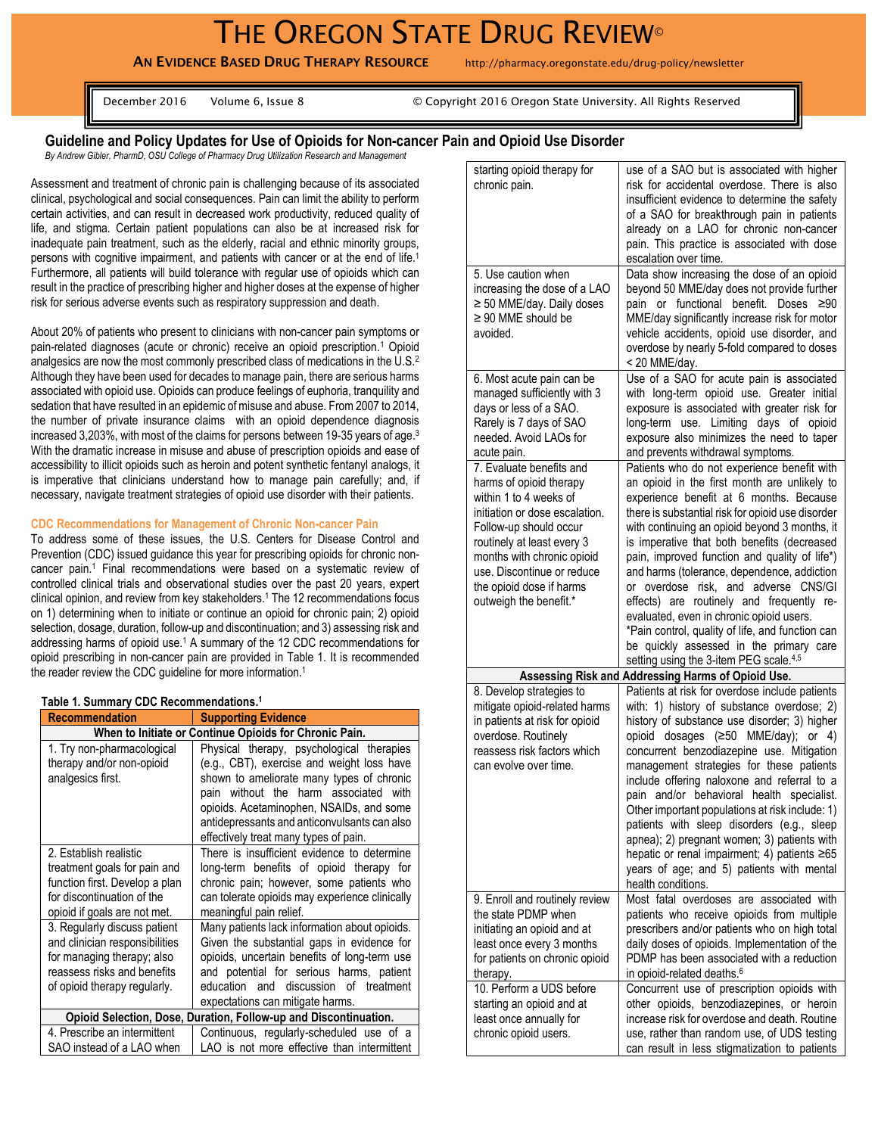# THE OREGON STATE DRUG REVIEW®

**AN EVIDENCE BASED DRUG THERAPY RESOURCE** http://pharmacy.oregonstate.edu/drug-policy/newsletter

December 2016 Volume 6, Issue 8 © Copyright 2016 Oregon State University. All Rights Reserved

# **Guideline and Policy Updates for Use of Opioids for Non-cancer Pain and Opioid Use Disorder**

*By Andrew Gibler, PharmD, OSU College of Pharmacy Drug Utilization Research and Management*

Assessment and treatment of chronic pain is challenging because of its associated clinical, psychological and social consequences. Pain can limit the ability to perform certain activities, and can result in decreased work productivity, reduced quality of life, and stigma. Certain patient populations can also be at increased risk for inadequate pain treatment, such as the elderly, racial and ethnic minority groups, persons with cognitive impairment, and patients with cancer or at the end of life. 1 Furthermore, all patients will build tolerance with regular use of opioids which can result in the practice of prescribing higher and higher doses at the expense of higher risk for serious adverse events such as respiratory suppression and death.

About 20% of patients who present to clinicians with non-cancer pain symptoms or pain-related diagnoses (acute or chronic) receive an opioid prescription.<sup>1</sup> Opioid analgesics are now the most commonly prescribed class of medications in the U.S.<sup>2</sup> Although they have been used for decades to manage pain, there are serious harms associated with opioid use. Opioids can produce feelings of euphoria, tranquility and sedation that have resulted in an epidemic of misuse and abuse. From 2007 to 2014, the number of private insurance claims with an opioid dependence diagnosis increased 3,203%, with most of the claims for persons between 19-35 years of age.<sup>3</sup> With the dramatic increase in misuse and abuse of prescription opioids and ease of accessibility to illicit opioids such as heroin and potent synthetic fentanyl analogs, it is imperative that clinicians understand how to manage pain carefully; and, if necessary, navigate treatment strategies of opioid use disorder with their patients.

#### **CDC Recommendations for Management of Chronic Non-cancer Pain**

To address some of these issues, the U.S. Centers for Disease Control and Prevention (CDC) issued guidance this year for prescribing opioids for chronic noncancer pain.<sup>1</sup> Final recommendations were based on a systematic review of controlled clinical trials and observational studies over the past 20 years, expert clinical opinion, and review from key stakeholders.<sup>1</sup> The 12 recommendations focus on 1) determining when to initiate or continue an opioid for chronic pain; 2) opioid selection, dosage, duration, follow-up and discontinuation; and 3) assessing risk and addressing harms of opioid use.<sup>1</sup> A summary of the 12 CDC recommendations for opioid prescribing in non-cancer pain are provided in Table 1. It is recommended the reader review the CDC guideline for more information. 1

#### **Table 1. Summary CDC Recommendations. 1**

| <b>Recommendation</b>                                                                                                                                       | <b>Supporting Evidence</b>                                                                                                                                                                                                                                                                                         |  |
|-------------------------------------------------------------------------------------------------------------------------------------------------------------|--------------------------------------------------------------------------------------------------------------------------------------------------------------------------------------------------------------------------------------------------------------------------------------------------------------------|--|
| When to Initiate or Continue Opioids for Chronic Pain.                                                                                                      |                                                                                                                                                                                                                                                                                                                    |  |
| 1. Try non-pharmacological<br>therapy and/or non-opioid<br>analgesics first.                                                                                | Physical therapy, psychological therapies<br>(e.g., CBT), exercise and weight loss have<br>shown to ameliorate many types of chronic<br>pain without the harm associated with<br>opioids. Acetaminophen, NSAIDs, and some<br>antidepressants and anticonvulsants can also<br>effectively treat many types of pain. |  |
| 2. Establish realistic<br>treatment goals for pain and<br>function first. Develop a plan<br>for discontinuation of the<br>opioid if goals are not met.      | There is insufficient evidence to determine<br>long-term benefits of opioid therapy for<br>chronic pain; however, some patients who<br>can tolerate opioids may experience clinically<br>meaningful pain relief.                                                                                                   |  |
| 3. Regularly discuss patient<br>and clinician responsibilities<br>for managing therapy; also<br>reassess risks and benefits<br>of opioid therapy regularly. | Many patients lack information about opioids.<br>Given the substantial gaps in evidence for<br>opioids, uncertain benefits of long-term use<br>and potential for serious harms, patient<br>and discussion of treatment<br>education<br>expectations can mitigate harms.                                            |  |
| Opioid Selection, Dose, Duration, Follow-up and Discontinuation.                                                                                            |                                                                                                                                                                                                                                                                                                                    |  |
| 4. Prescribe an intermittent<br>SAO instead of a LAO when                                                                                                   | Continuous, regularly-scheduled use of a<br>LAO is not more effective than intermittent                                                                                                                                                                                                                            |  |

| starting opioid therapy for<br>chronic pain.                                                                                                                                                                                                                                              | use of a SAO but is associated with higher<br>risk for accidental overdose. There is also<br>insufficient evidence to determine the safety<br>of a SAO for breakthrough pain in patients<br>already on a LAO for chronic non-cancer<br>pain. This practice is associated with dose<br>escalation over time.                                                                                                                                                                                                                                                                                                                                                           |
|-------------------------------------------------------------------------------------------------------------------------------------------------------------------------------------------------------------------------------------------------------------------------------------------|-----------------------------------------------------------------------------------------------------------------------------------------------------------------------------------------------------------------------------------------------------------------------------------------------------------------------------------------------------------------------------------------------------------------------------------------------------------------------------------------------------------------------------------------------------------------------------------------------------------------------------------------------------------------------|
| 5. Use caution when<br>increasing the dose of a LAO<br>≥ 50 MME/day. Daily doses<br>$\geq$ 90 MME should be<br>avoided.                                                                                                                                                                   | Data show increasing the dose of an opioid<br>beyond 50 MME/day does not provide further<br>pain or functional benefit. Doses<br>≥90<br>MME/day significantly increase risk for motor<br>vehicle accidents, opioid use disorder, and<br>overdose by nearly 5-fold compared to doses<br>< 20 MME/day.                                                                                                                                                                                                                                                                                                                                                                  |
| 6. Most acute pain can be<br>managed sufficiently with 3<br>days or less of a SAO.<br>Rarely is 7 days of SAO<br>needed. Avoid LAOs for<br>acute pain.                                                                                                                                    | Use of a SAO for acute pain is associated<br>with long-term opioid use. Greater initial<br>exposure is associated with greater risk for<br>long-term use. Limiting days of opioid<br>exposure also minimizes the need to taper<br>and prevents withdrawal symptoms.                                                                                                                                                                                                                                                                                                                                                                                                   |
| 7. Evaluate benefits and<br>harms of opioid therapy<br>within 1 to 4 weeks of<br>initiation or dose escalation.<br>Follow-up should occur<br>routinely at least every 3<br>months with chronic opioid<br>use. Discontinue or reduce<br>the opioid dose if harms<br>outweigh the benefit.* | Patients who do not experience benefit with<br>an opioid in the first month are unlikely to<br>experience benefit at 6 months. Because<br>there is substantial risk for opioid use disorder<br>with continuing an opioid beyond 3 months, it<br>is imperative that both benefits (decreased<br>pain, improved function and quality of life*)<br>and harms (tolerance, dependence, addiction<br>or overdose risk, and adverse CNS/GI<br>effects) are routinely and frequently re-<br>evaluated, even in chronic opioid users.<br>*Pain control, quality of life, and function can<br>be quickly assessed in the primary care<br>setting using the 3-item PEG scale.4,5 |
|                                                                                                                                                                                                                                                                                           | Assessing Risk and Addressing Harms of Opioid Use.                                                                                                                                                                                                                                                                                                                                                                                                                                                                                                                                                                                                                    |
| 8. Develop strategies to<br>mitigate opioid-related harms<br>in patients at risk for opioid<br>overdose. Routinely<br>reassess risk factors which<br>can evolve over time.                                                                                                                | Patients at risk for overdose include patients<br>with: 1) history of substance overdose; 2)<br>history of substance use disorder; 3) higher<br>opioid dosages (≥50 MME/day); or 4)<br>concurrent benzodiazepine use. Mitigation<br>management strategies for these patients<br>include offering naloxone and referral to a<br>pain and/or behavioral health specialist.<br>Other important populations at risk include: 1)<br>patients with sleep disorders (e.g., sleep<br>apnea); 2) pregnant women; 3) patients with<br>hepatic or renal impairment; 4) patients ≥65<br>years of age; and 5) patients with mental<br>health conditions.                           |
| 9. Enroll and routinely review<br>the state PDMP when<br>initiating an opioid and at<br>least once every 3 months<br>for patients on chronic opioid<br>therapy.                                                                                                                           | Most fatal overdoses are associated with<br>patients who receive opioids from multiple<br>prescribers and/or patients who on high total<br>daily doses of opioids. Implementation of the<br>PDMP has been associated with a reduction<br>in opioid-related deaths. <sup>6</sup>                                                                                                                                                                                                                                                                                                                                                                                       |
| 10. Perform a UDS before<br>starting an opioid and at<br>least once annually for<br>chronic opioid users.                                                                                                                                                                                 | Concurrent use of prescription opioids with<br>other opioids, benzodiazepines, or heroin<br>increase risk for overdose and death. Routine<br>use, rather than random use, of UDS testing<br>can result in less stigmatization to patients                                                                                                                                                                                                                                                                                                                                                                                                                             |